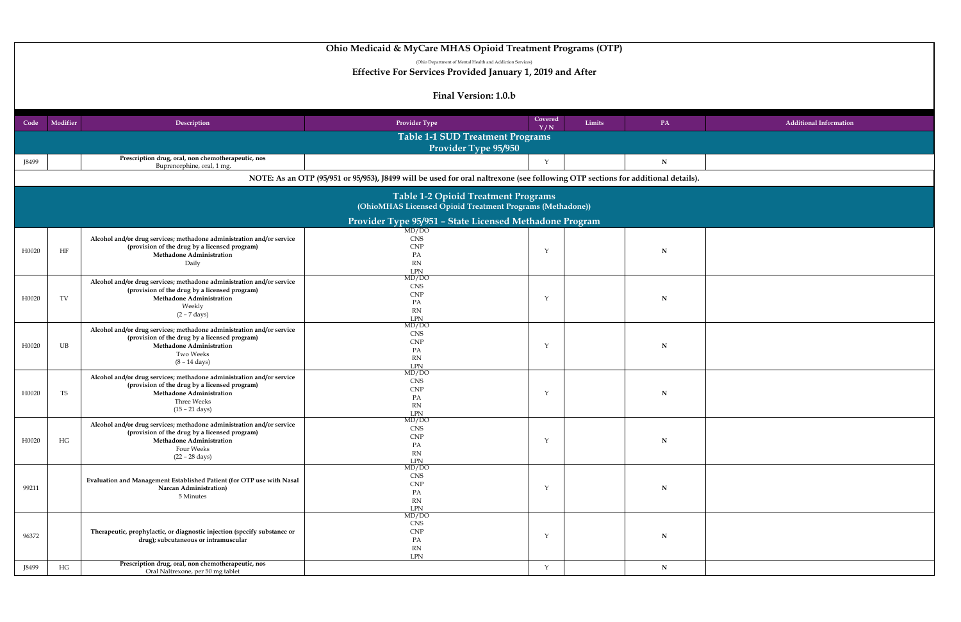## **Y / N Limits PA Additional Information**

|              |                                                                                                         |                                                                                                                                                                                                      | Final Version: L.U.D                                                                                                            |                |        |    |  |  |
|--------------|---------------------------------------------------------------------------------------------------------|------------------------------------------------------------------------------------------------------------------------------------------------------------------------------------------------------|---------------------------------------------------------------------------------------------------------------------------------|----------------|--------|----|--|--|
| Code         | <b>Modifier</b>                                                                                         | Description                                                                                                                                                                                          | <b>Provider Type</b>                                                                                                            | Covered<br>Y/N | Limits | PA |  |  |
|              | <b>Table 1-1 SUD Treatment Programs</b><br><b>Provider Type 95/950</b>                                  |                                                                                                                                                                                                      |                                                                                                                                 |                |        |    |  |  |
| <b>J8499</b> |                                                                                                         | Prescription drug, oral, non chemotherapeutic, nos<br>Buprenorphine, oral, 1 mg.                                                                                                                     |                                                                                                                                 | $\sqrt{}$      |        | N  |  |  |
|              |                                                                                                         |                                                                                                                                                                                                      | NOTE: As an OTP (95/951 or 95/953), J8499 will be used for oral naltrexone (see following OTP sections for additional details). |                |        |    |  |  |
|              | <b>Table 1-2 Opioid Treatment Programs</b><br>(OhioMHAS Licensed Opioid Treatment Programs (Methadone)) |                                                                                                                                                                                                      |                                                                                                                                 |                |        |    |  |  |
|              |                                                                                                         |                                                                                                                                                                                                      | <b>Provider Type 95/951 - State Licensed Methadone Program</b>                                                                  |                |        |    |  |  |
| H0020        | <b>HF</b>                                                                                               | Alcohol and/or drug services; methadone administration and/or service<br>(provision of the drug by a licensed program)<br><b>Methadone Administration</b><br>Daily                                   | MD/DO<br><b>CNS</b><br><b>CNP</b><br>PA<br><b>RN</b><br>LPN                                                                     | $\mathcal{N}$  |        | N  |  |  |
| H0020        | TV                                                                                                      | Alcohol and/or drug services; methadone administration and/or service<br>(provision of the drug by a licensed program)<br>Methadone Administration<br>Weekly<br>$(2 - 7 \text{ days})$               | MD/DO<br><b>CNS</b><br><b>CNP</b><br>PA<br><b>RN</b><br><b>LPN</b>                                                              | $\mathcal{N}$  |        | N  |  |  |
| H0020        | <b>UB</b>                                                                                               | Alcohol and/or drug services; methadone administration and/or service<br>(provision of the drug by a licensed program)<br><b>Methadone Administration</b><br>Two Weeks<br>$(8 - 14 \text{ days})$    | MD/DO<br><b>CNS</b><br><b>CNP</b><br>PA<br><b>RN</b><br><b>LPN</b>                                                              | $\mathcal{N}$  |        | N  |  |  |
| H0020        | <b>TS</b>                                                                                               | Alcohol and/or drug services; methadone administration and/or service<br>(provision of the drug by a licensed program)<br><b>Methadone Administration</b><br>Three Weeks<br>$(15 - 21 \text{ days})$ | MD/DO<br><b>CNS</b><br><b>CNP</b><br>PA<br><b>RN</b><br><b>LPN</b>                                                              |                |        | N  |  |  |
| H0020        | HG                                                                                                      | Alcohol and/or drug services; methadone administration and/or service<br>(provision of the drug by a licensed program)<br><b>Methadone Administration</b><br>Four Weeks<br>$(22 - 28 \text{ days})$  | MD/DO<br><b>CNS</b><br><b>CNP</b><br>PA<br><b>RN</b><br><b>LPN</b>                                                              | $\mathcal{N}$  |        | N  |  |  |
| 99211        |                                                                                                         | Evaluation and Management Established Patient (for OTP use with Nasal<br><b>Narcan Administration</b> )<br>5 Minutes                                                                                 | MD/DO<br><b>CNS</b><br><b>CNP</b><br>PA<br><b>RN</b><br><b>LPN</b>                                                              | $\mathbf{v}$   |        | N  |  |  |
| 96372        |                                                                                                         | Therapeutic, prophylactic, or diagnostic injection (specify substance or<br>drug); subcutaneous or intramuscular                                                                                     | MD/DO<br><b>CNS</b><br><b>CNP</b><br>PA<br><b>RN</b><br><b>LPN</b>                                                              | $\mathcal{N}$  |        | N  |  |  |
| J8499        | HG                                                                                                      | Prescription drug, oral, non chemotherapeutic, nos<br>Oral Naltrexone, per 50 mg tablet                                                                                                              |                                                                                                                                 | $\mathbf{v}$   |        | N  |  |  |

# **Ohio Medicaid & MyCare MHAS Opioid Treatment Programs (OTP)**

(Ohio Department of Mental Health and Addiction Services)

**Effective For Services Provided January 1, 2019 and After**

## Einal Varsion: 1.0.b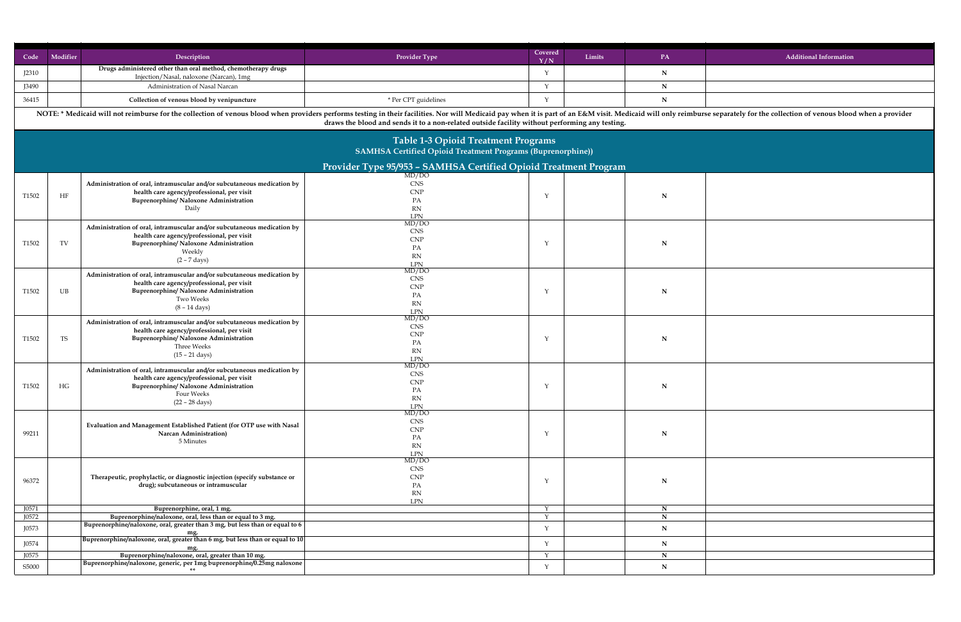| Modifier<br>Code   | Description                                                                                                                                                                                                                    | <b>Provider Type</b>                                                    | Covered<br>Y/N | Limits | <b>PA</b>   | <b>Additional Information</b> |
|--------------------|--------------------------------------------------------------------------------------------------------------------------------------------------------------------------------------------------------------------------------|-------------------------------------------------------------------------|----------------|--------|-------------|-------------------------------|
| J2310              | Drugs administered other than oral method, chemotherapy drugs                                                                                                                                                                  |                                                                         |                |        | $\mathbf N$ |                               |
| <b>J3490</b>       | Injection/Nasal, naloxone (Narcan), 1mg<br><b>Administration of Nasal Narcan</b>                                                                                                                                               |                                                                         |                |        | $\mathbf N$ |                               |
| 36415              | Collection of venous blood by venipuncture                                                                                                                                                                                     | * Per CPT guidelines                                                    |                |        |             |                               |
|                    | NOTE: * Medicaid will not reimburse for the collection of venous blood when providers performs testing in their facilities. Nor will Medicaid will only reimburse separately for the collection of venous blood when a provide |                                                                         |                |        |             |                               |
|                    | draws the blood and sends it to a non-related outside facility without performing any testing.                                                                                                                                 |                                                                         |                |        |             |                               |
|                    |                                                                                                                                                                                                                                | <b>Table 1-3 Opioid Treatment Programs</b>                              |                |        |             |                               |
|                    | <b>SAMHSA Certified Opioid Treatment Programs (Buprenorphine))</b>                                                                                                                                                             |                                                                         |                |        |             |                               |
|                    |                                                                                                                                                                                                                                | <b>Provider Type 95/953 - SAMHSA Certified Opioid Treatment Program</b> |                |        |             |                               |
|                    | Administration of oral, intramuscular and/or subcutaneous medication by                                                                                                                                                        | MD/DO<br><b>CNS</b>                                                     |                |        |             |                               |
| HF<br>T1502        | health care agency/professional, per visit                                                                                                                                                                                     | <b>CNP</b>                                                              |                |        | N           |                               |
|                    | <b>Buprenorphine/ Naloxone Administration</b><br>Daily                                                                                                                                                                         | PA<br><b>RN</b>                                                         |                |        |             |                               |
|                    |                                                                                                                                                                                                                                | LPN                                                                     |                |        |             |                               |
|                    | Administration of oral, intramuscular and/or subcutaneous medication by                                                                                                                                                        | MD/DO<br><b>CNS</b>                                                     |                |        |             |                               |
| TV<br>T1502        | health care agency/professional, per visit<br><b>Buprenorphine/ Naloxone Administration</b>                                                                                                                                    | <b>CNF</b>                                                              |                |        | N           |                               |
|                    | Weekly                                                                                                                                                                                                                         | PA                                                                      |                |        |             |                               |
|                    | $(2 - 7 \text{ days})$                                                                                                                                                                                                         | <b>RN</b><br>LPN                                                        |                |        |             |                               |
|                    | Administration of oral, intramuscular and/or subcutaneous medication by                                                                                                                                                        | MD/DO<br><b>CNS</b>                                                     |                |        |             |                               |
|                    | health care agency/professional, per visit                                                                                                                                                                                     | <b>CNP</b>                                                              |                |        |             |                               |
| T1502<br>UB        | <b>Buprenorphine/ Naloxone Administration</b><br>Two Weeks                                                                                                                                                                     | PA                                                                      |                |        | $\mathbf N$ |                               |
|                    | $(8 - 14 \text{ days})$                                                                                                                                                                                                        | <b>RN</b><br><b>LPN</b>                                                 |                |        |             |                               |
|                    | Administration of oral, intramuscular and/or subcutaneous medication by                                                                                                                                                        | MD/DO                                                                   |                |        |             |                               |
|                    | health care agency/professional, per visit                                                                                                                                                                                     | <b>CNS</b><br><b>CNP</b>                                                |                |        |             |                               |
| <b>TS</b><br>T1502 | <b>Buprenorphine/ Naloxone Administration</b><br>Three Weeks                                                                                                                                                                   | PA                                                                      |                |        | N           |                               |
|                    | $(15 - 21 \text{ days})$                                                                                                                                                                                                       | <b>RN</b>                                                               |                |        |             |                               |
|                    | Administration of oral, intramuscular and/or subcutaneous medication by                                                                                                                                                        | LPN<br>MD/DO                                                            |                |        |             |                               |
|                    | health care agency/professional, per visit                                                                                                                                                                                     | <b>CNS</b>                                                              |                |        |             |                               |
| HG<br>T1502        | <b>Buprenorphine/ Naloxone Administration</b>                                                                                                                                                                                  | <b>CNF</b><br>PA                                                        |                |        | N           |                               |
|                    | Four Weeks<br>$(22 - 28 \text{ days})$                                                                                                                                                                                         | <b>RN</b>                                                               |                |        |             |                               |
|                    |                                                                                                                                                                                                                                | LPN<br>MD/DO                                                            |                |        |             |                               |
|                    | <b>Evaluation and Management Established Patient (for OTP use with Nasal</b>                                                                                                                                                   | <b>CNS</b>                                                              |                |        |             |                               |
| 99211              | <b>Narcan Administration</b> )                                                                                                                                                                                                 | <b>CNP</b><br>PA                                                        |                |        | N           |                               |
|                    | 5 Minutes                                                                                                                                                                                                                      | <b>RN</b>                                                               |                |        |             |                               |
|                    |                                                                                                                                                                                                                                | LPN<br>MD/DO                                                            |                |        |             |                               |
|                    |                                                                                                                                                                                                                                | <b>CNS</b>                                                              |                |        |             |                               |
| 96372              | Therapeutic, prophylactic, or diagnostic injection (specify substance or<br>drug); subcutaneous or intramuscular                                                                                                               | <b>CNF</b>                                                              |                |        | N           |                               |
|                    |                                                                                                                                                                                                                                | PA<br><b>RN</b>                                                         |                |        |             |                               |
| J0571              | Buprenorphine, oral, 1 mg.                                                                                                                                                                                                     | <b>LPN</b>                                                              | $\mathcal{N}$  |        | N           |                               |
| J0572              | Buprenorphine/naloxone, oral, less than or equal to 3 mg.                                                                                                                                                                      |                                                                         |                |        |             |                               |
| J0573              | Buprenorphine/naloxone, oral, greater than 3 mg, but less than or equal to 6                                                                                                                                                   |                                                                         |                |        |             |                               |
| J0574              | mg.<br>Buprenorphine/naloxone, oral, greater than 6 mg, but less than or equal to $10$                                                                                                                                         |                                                                         |                |        | $\mathbf N$ |                               |
| J0575              | mg.<br>Buprenorphine/naloxone, oral, greater than 10 mg.                                                                                                                                                                       |                                                                         |                |        |             |                               |
| S5000              | Buprenorphine/naloxone, generic, per 1mg buprenorphine/0.25mg naloxone                                                                                                                                                         |                                                                         |                |        |             |                               |
|                    |                                                                                                                                                                                                                                |                                                                         |                |        |             |                               |